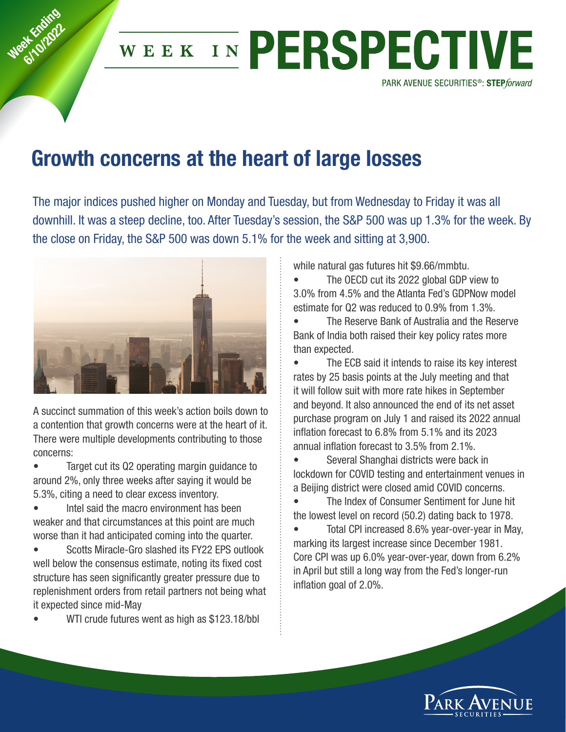

## WEEK IN PERSPECTIVE

PARK AVENUE SECURITIES<sup>®</sup>: STEPforward

## **Growth concerns at the heart of large losses**

The major indices pushed higher on Monday and Tuesday, but from Wednesday to Friday it was all downhill. It was a steep decline, too. After Tuesday's session, the S&P 500 was up 1.3% for the week. By the close on Friday, the S&P 500 was down 5.1% for the week and sitting at 3,900.



A succinct summation of this week's action boils down to a contention that growth concerns were at the heart of it. There were multiple developments contributing to those concerns:

• Target cut its Q2 operating margin guidance to around 2%, only three weeks after saying it would be 5.3%, citing a need to clear excess inventory.

• Intel said the macro environment has been weaker and that circumstances at this point are much worse than it had anticipated coming into the quarter.

• Scotts Miracle-Gro slashed its FY22 EPS outlook well below the consensus estimate, noting its fixed cost structure has seen significantly greater pressure due to replenishment orders from retail partners not being what it expected since mid-May

WTI crude futures went as high as \$123.18/bbl

while natural gas futures hit \$9.66/mmbtu.

• The OECD cut its 2022 global GDP view to 3.0% from 4.5% and the Atlanta Fed's GDPNow model estimate for Q2 was reduced to 0.9% from 1.3%.

• The Reserve Bank of Australia and the Reserve Bank of India both raised their key policy rates more than expected.

• The ECB said it intends to raise its key interest rates by 25 basis points at the July meeting and that it will follow suit with more rate hikes in September and beyond. It also announced the end of its net asset purchase program on July 1 and raised its 2022 annual inflation forecast to 6.8% from 5.1% and its 2023 annual inflation forecast to 3.5% from 2.1%.

• Several Shanghai districts were back in lockdown for COVID testing and entertainment venues in a Beijing district were closed amid COVID concerns.

• The Index of Consumer Sentiment for June hit the lowest level on record (50.2) dating back to 1978.

• Total CPI increased 8.6% year-over-year in May, marking its largest increase since December 1981. Core CPI was up 6.0% year-over-year, down from 6.2% in April but still a long way from the Fed's longer-run inflation goal of 2.0%.